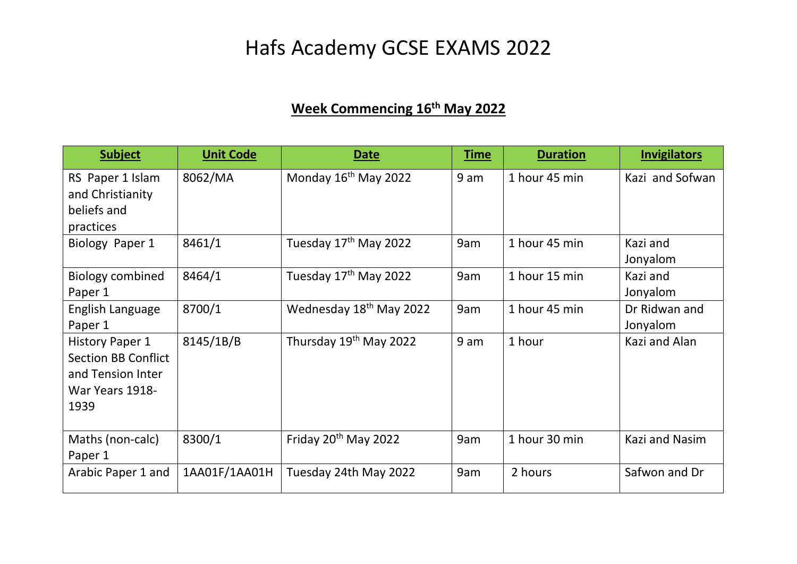## Hafs Academy GCSE EXAMS 2022

## **Week Commencing 16th May 2022**

| <b>Subject</b>                                                                                       | <b>Unit Code</b> | Date                                | <b>Time</b> | <b>Duration</b> | <b>Invigilators</b>       |
|------------------------------------------------------------------------------------------------------|------------------|-------------------------------------|-------------|-----------------|---------------------------|
| RS Paper 1 Islam<br>and Christianity<br>beliefs and<br>practices                                     | 8062/MA          | Monday 16 <sup>th</sup> May 2022    | 9 am        | 1 hour 45 min   | Kazi and Sofwan           |
| Biology Paper 1                                                                                      | 8461/1           | Tuesday 17 <sup>th</sup> May 2022   | 9am         | 1 hour 45 min   | Kazi and<br>Jonyalom      |
| <b>Biology combined</b><br>Paper 1                                                                   | 8464/1           | Tuesday 17th May 2022               | 9am         | 1 hour 15 min   | Kazi and<br>Jonyalom      |
| English Language<br>Paper 1                                                                          | 8700/1           | Wednesday 18 <sup>th</sup> May 2022 | 9am         | 1 hour 45 min   | Dr Ridwan and<br>Jonyalom |
| <b>History Paper 1</b><br><b>Section BB Conflict</b><br>and Tension Inter<br>War Years 1918-<br>1939 | 8145/1B/B        | Thursday 19 <sup>th</sup> May 2022  | 9 am        | 1 hour          | Kazi and Alan             |
| Maths (non-calc)<br>Paper 1                                                                          | 8300/1           | Friday 20 <sup>th</sup> May 2022    | 9am         | 1 hour 30 min   | Kazi and Nasim            |
| Arabic Paper 1 and                                                                                   | 1AA01F/1AA01H    | Tuesday 24th May 2022               | 9am         | 2 hours         | Safwon and Dr             |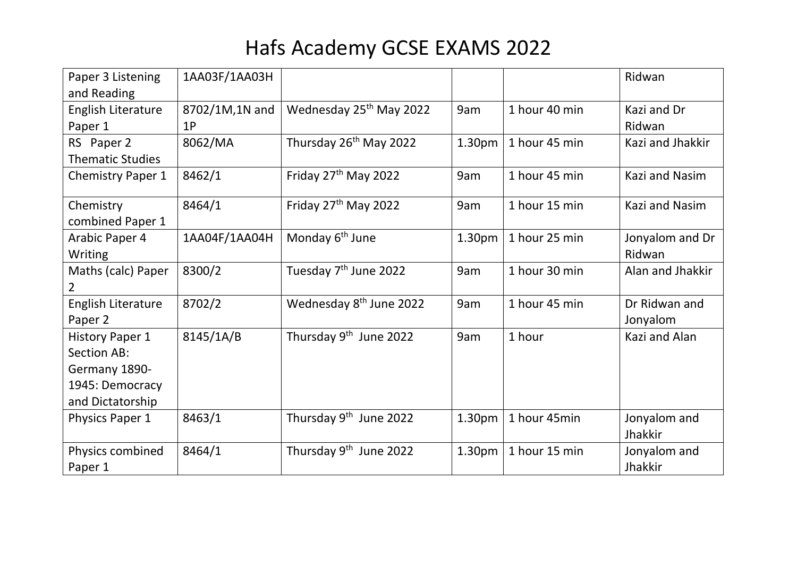## Hafs Academy GCSE EXAMS 2022

| Paper 3 Listening        | 1AA03F/1AA03H  |                                     |                    |               | Ridwan                |
|--------------------------|----------------|-------------------------------------|--------------------|---------------|-----------------------|
| and Reading              |                |                                     |                    |               |                       |
| English Literature       | 8702/1M,1N and | Wednesday 25 <sup>th</sup> May 2022 | 9am                | 1 hour 40 min | Kazi and Dr           |
| Paper 1                  | 1P             |                                     |                    |               | Ridwan                |
| RS Paper 2               | 8062/MA        | Thursday 26 <sup>th</sup> May 2022  | 1.30pm             | 1 hour 45 min | Kazi and Jhakkir      |
| <b>Thematic Studies</b>  |                |                                     |                    |               |                       |
| <b>Chemistry Paper 1</b> | 8462/1         | Friday 27 <sup>th</sup> May 2022    | 9am                | 1 hour 45 min | <b>Kazi and Nasim</b> |
| Chemistry                | 8464/1         | Friday 27 <sup>th</sup> May 2022    | 9am                | 1 hour 15 min | Kazi and Nasim        |
| combined Paper 1         |                |                                     |                    |               |                       |
| Arabic Paper 4           | 1AA04F/1AA04H  | Monday 6 <sup>th</sup> June         | 1.30 <sub>pm</sub> | 1 hour 25 min | Jonyalom and Dr       |
| Writing                  |                |                                     |                    |               | Ridwan                |
| Maths (calc) Paper       | 8300/2         | Tuesday 7 <sup>th</sup> June 2022   | 9am                | 1 hour 30 min | Alan and Jhakkir      |
| $\mathbf{2}$             |                |                                     |                    |               |                       |
| English Literature       | 8702/2         | Wednesday 8 <sup>th</sup> June 2022 | 9am                | 1 hour 45 min | Dr Ridwan and         |
| Paper 2                  |                |                                     |                    |               | Jonyalom              |
| <b>History Paper 1</b>   | 8145/1A/B      | Thursday 9 <sup>th</sup> June 2022  | 9am                | 1 hour        | Kazi and Alan         |
| Section AB:              |                |                                     |                    |               |                       |
| Germany 1890-            |                |                                     |                    |               |                       |
| 1945: Democracy          |                |                                     |                    |               |                       |
| and Dictatorship         |                |                                     |                    |               |                       |
| Physics Paper 1          | 8463/1         | Thursday 9 <sup>th</sup> June 2022  | 1.30 <sub>pm</sub> | 1 hour 45min  | Jonyalom and          |
|                          |                |                                     |                    |               | Jhakkir               |
| Physics combined         | 8464/1         | Thursday 9 <sup>th</sup> June 2022  | 1.30 <sub>pm</sub> | 1 hour 15 min | Jonyalom and          |
| Paper 1                  |                |                                     |                    |               | Jhakkir               |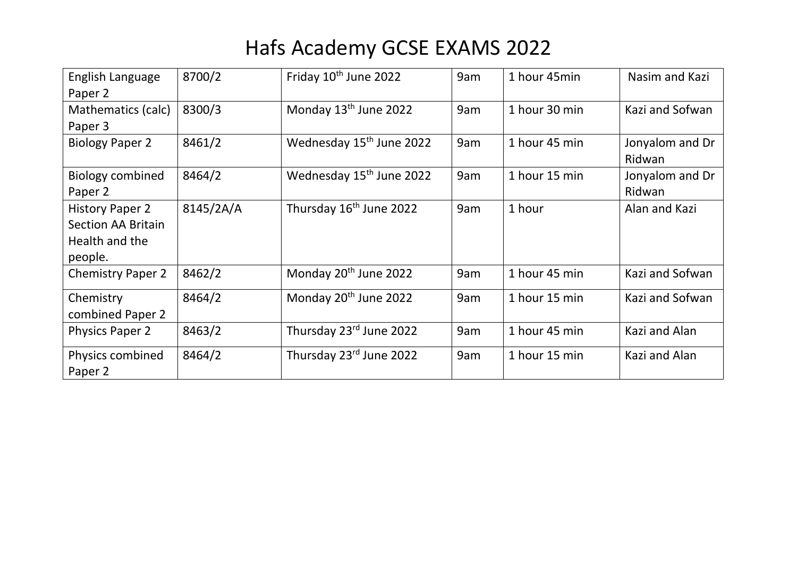## Hafs Academy GCSE EXAMS 2022

| English Language<br>Paper 2                                                      | 8700/2    | Friday 10 <sup>th</sup> June 2022    | 9am | 1 hour 45min  | Nasim and Kazi            |
|----------------------------------------------------------------------------------|-----------|--------------------------------------|-----|---------------|---------------------------|
| Mathematics (calc)<br>Paper 3                                                    | 8300/3    | Monday 13 <sup>th</sup> June 2022    | 9am | 1 hour 30 min | Kazi and Sofwan           |
| <b>Biology Paper 2</b>                                                           | 8461/2    | Wednesday 15 <sup>th</sup> June 2022 | 9am | 1 hour 45 min | Jonyalom and Dr<br>Ridwan |
| <b>Biology combined</b><br>Paper 2                                               | 8464/2    | Wednesday 15 <sup>th</sup> June 2022 | 9am | 1 hour 15 min | Jonyalom and Dr<br>Ridwan |
| <b>History Paper 2</b><br><b>Section AA Britain</b><br>Health and the<br>people. | 8145/2A/A | Thursday 16 <sup>th</sup> June 2022  | 9am | 1 hour        | Alan and Kazi             |
| <b>Chemistry Paper 2</b>                                                         | 8462/2    | Monday 20 <sup>th</sup> June 2022    | 9am | 1 hour 45 min | Kazi and Sofwan           |
| Chemistry<br>combined Paper 2                                                    | 8464/2    | Monday 20 <sup>th</sup> June 2022    | 9am | 1 hour 15 min | Kazi and Sofwan           |
| <b>Physics Paper 2</b>                                                           | 8463/2    | Thursday 23rd June 2022              | 9am | 1 hour 45 min | Kazi and Alan             |
| Physics combined<br>Paper 2                                                      | 8464/2    | Thursday 23rd June 2022              | 9am | 1 hour 15 min | Kazi and Alan             |